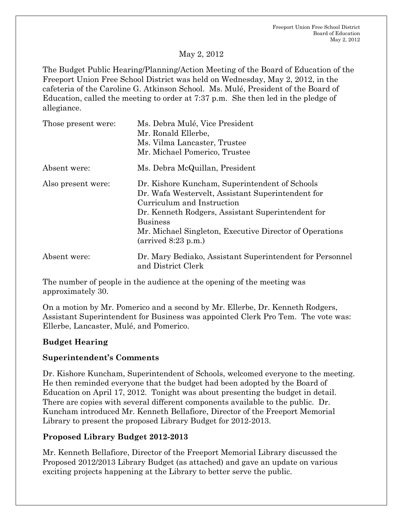#### May 2, 2012

The Budget Public Hearing/Planning/Action Meeting of the Board of Education of the Freeport Union Free School District was held on Wednesday, May 2, 2012, in the cafeteria of the Caroline G. Atkinson School. Ms. Mulé, President of the Board of Education, called the meeting to order at 7:37 p.m. She then led in the pledge of allegiance.

| Those present were: | Ms. Debra Mulé, Vice President<br>Mr. Ronald Ellerbe,<br>Ms. Vilma Lancaster, Trustee<br>Mr. Michael Pomerico, Trustee                                                                                                                                                                              |
|---------------------|-----------------------------------------------------------------------------------------------------------------------------------------------------------------------------------------------------------------------------------------------------------------------------------------------------|
| Absent were:        | Ms. Debra McQuillan, President                                                                                                                                                                                                                                                                      |
| Also present were:  | Dr. Kishore Kuncham, Superintendent of Schools<br>Dr. Wafa Westervelt, Assistant Superintendent for<br>Curriculum and Instruction<br>Dr. Kenneth Rodgers, Assistant Superintendent for<br><b>Business</b><br>Mr. Michael Singleton, Executive Director of Operations<br>$\left($ arrived 8:23 p.m.) |
| Absent were:        | Dr. Mary Bediako, Assistant Superintendent for Personnel<br>and District Clerk                                                                                                                                                                                                                      |

The number of people in the audience at the opening of the meeting was approximately 30.

On a motion by Mr. Pomerico and a second by Mr. Ellerbe, Dr. Kenneth Rodgers, Assistant Superintendent for Business was appointed Clerk Pro Tem. The vote was: Ellerbe, Lancaster, Mulé, and Pomerico.

## **Budget Hearing**

## **Superintendent's Comments**

Dr. Kishore Kuncham, Superintendent of Schools, welcomed everyone to the meeting. He then reminded everyone that the budget had been adopted by the Board of Education on April 17, 2012. Tonight was about presenting the budget in detail. There are copies with several different components available to the public. Dr. Kuncham introduced Mr. Kenneth Bellafiore, Director of the Freeport Memorial Library to present the proposed Library Budget for 2012-2013.

#### **Proposed Library Budget 2012-2013**

Mr. Kenneth Bellafiore, Director of the Freeport Memorial Library discussed the Proposed 2012/2013 Library Budget (as attached) and gave an update on various exciting projects happening at the Library to better serve the public.